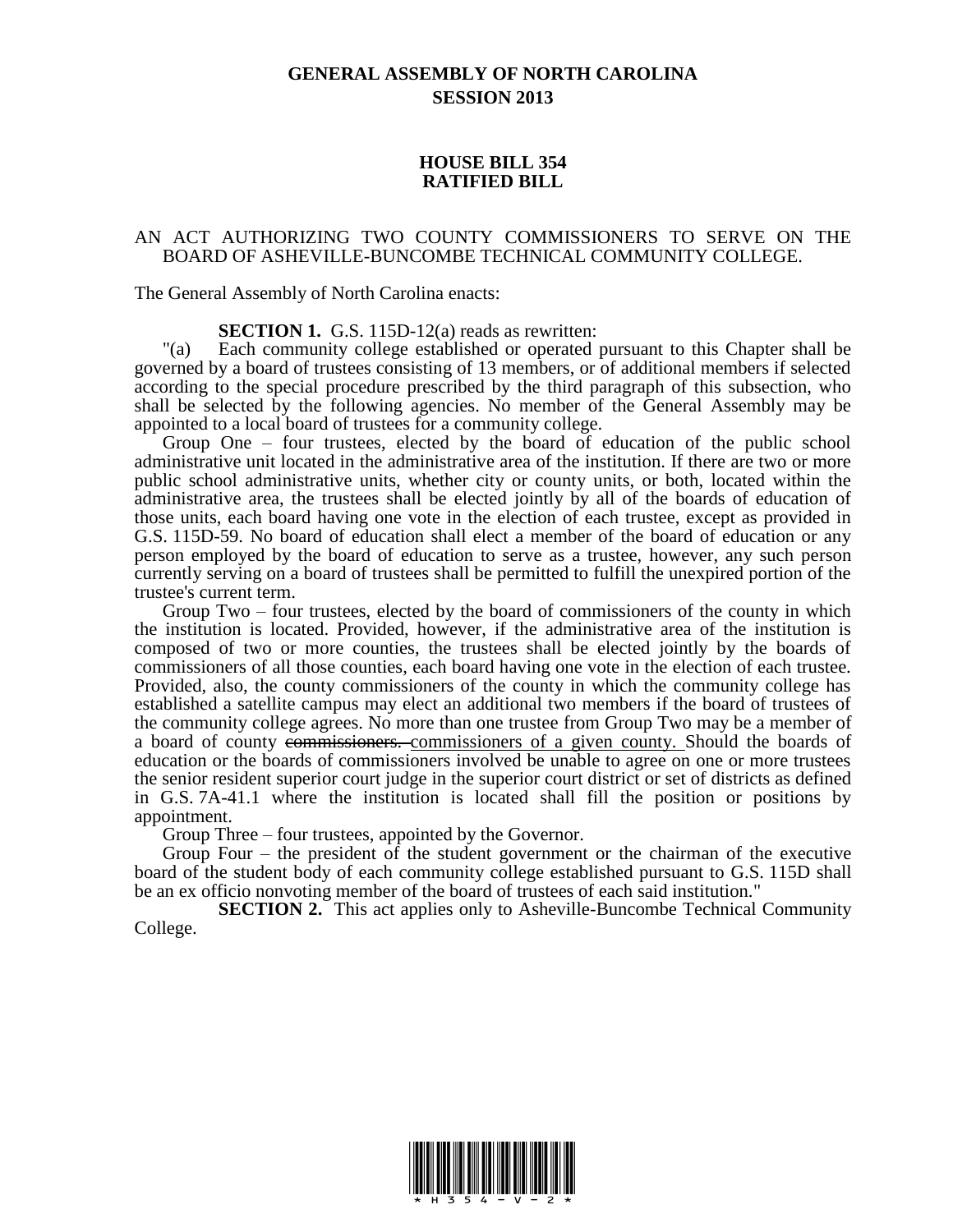## **GENERAL ASSEMBLY OF NORTH CAROLINA SESSION 2013**

## **HOUSE BILL 354 RATIFIED BILL**

## AN ACT AUTHORIZING TWO COUNTY COMMISSIONERS TO SERVE ON THE BOARD OF ASHEVILLE-BUNCOMBE TECHNICAL COMMUNITY COLLEGE.

The General Assembly of North Carolina enacts:

**SECTION 1.** G.S. 115D-12(a) reads as rewritten:

"(a) Each community college established or operated pursuant to this Chapter shall be governed by a board of trustees consisting of 13 members, or of additional members if selected according to the special procedure prescribed by the third paragraph of this subsection, who shall be selected by the following agencies. No member of the General Assembly may be appointed to a local board of trustees for a community college.

Group One – four trustees, elected by the board of education of the public school administrative unit located in the administrative area of the institution. If there are two or more public school administrative units, whether city or county units, or both, located within the administrative area, the trustees shall be elected jointly by all of the boards of education of those units, each board having one vote in the election of each trustee, except as provided in G.S. 115D-59. No board of education shall elect a member of the board of education or any person employed by the board of education to serve as a trustee, however, any such person currently serving on a board of trustees shall be permitted to fulfill the unexpired portion of the trustee's current term.

Group Two – four trustees, elected by the board of commissioners of the county in which the institution is located. Provided, however, if the administrative area of the institution is composed of two or more counties, the trustees shall be elected jointly by the boards of commissioners of all those counties, each board having one vote in the election of each trustee. Provided, also, the county commissioners of the county in which the community college has established a satellite campus may elect an additional two members if the board of trustees of the community college agrees. No more than one trustee from Group Two may be a member of a board of county commissioners. commissioners of a given county. Should the boards of education or the boards of commissioners involved be unable to agree on one or more trustees the senior resident superior court judge in the superior court district or set of districts as defined in G.S. 7A-41.1 where the institution is located shall fill the position or positions by appointment.

Group Three – four trustees, appointed by the Governor.

Group Four – the president of the student government or the chairman of the executive board of the student body of each community college established pursuant to G.S. 115D shall be an ex officio nonvoting member of the board of trustees of each said institution."

**SECTION 2.** This act applies only to Asheville-Buncombe Technical Community College.